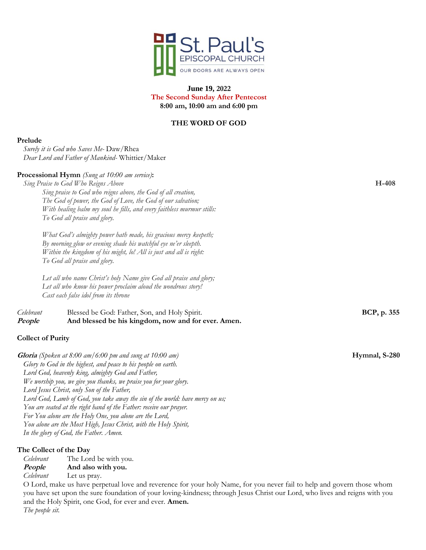

#### **June 19, 2022 The Second Sunday After Pentecost 8:00 am, 10:00 am and 6:00 pm**

### **THE WORD OF GOD**

#### **Prelude**

*Surely it is God who Saves Me-* Daw/Rhea *Dear Lord and Father of Mankind-* Whittier/Maker

|                                                                    | Processional Hymn (Sung at 10:00 am service):                                |             |
|--------------------------------------------------------------------|------------------------------------------------------------------------------|-------------|
|                                                                    | Sing Praise to God Who Reigns Above                                          | H-408       |
|                                                                    | Sing praise to God who reigns above, the God of all creation,                |             |
|                                                                    | The God of power, the God of Love, the God of our salvation;                 |             |
|                                                                    | With healing balm my soul he fills, and every faithless murmur stills:       |             |
|                                                                    | To God all praise and glory.                                                 |             |
|                                                                    | What God's almighty power hath made, his gracious mercy keepeth;             |             |
|                                                                    | By morning glow or evening shade his watchful eye ne'er sleepth.             |             |
| Within the kingdom of his might, lo! All is just and all is right: |                                                                              |             |
|                                                                    | To God all praise and glory.                                                 |             |
|                                                                    | Let all who name Christ's holy Name give God all praise and glory;           |             |
| Let all who know his power proclaim aloud the wondrous story!      |                                                                              |             |
|                                                                    | Cast each false idol from its throne                                         |             |
| Celebrant                                                          | Blessed be God: Father, Son, and Holy Spirit.                                | BCP, p. 355 |
| People                                                             | And blessed be his kingdom, now and for ever. Amen.                          |             |
| <b>Collect of Purity</b>                                           |                                                                              |             |
| <b>Gloria</b> (Spoken at 8:00 am/6:00 pm and sung at 10:00 am)     | Hymnal, S-280                                                                |             |
| Glory to God in the highest, and peace to his people on earth.     |                                                                              |             |
|                                                                    | Lord God, heavenly king, almighty God and Father,                            |             |
|                                                                    | We worship you, we give you thanks, we praise you for your glory.            |             |
|                                                                    | Lord Jesus Christ, only Son of the Father,                                   |             |
|                                                                    | Lord God, Lamb of God, you take away the sin of the world: have mercy on us; |             |
|                                                                    | You are seated at the right hand of the Father: receive our prayer.          |             |
|                                                                    | For You alone are the Holy One, you alone are the Lord,                      |             |
|                                                                    | You alone are the Most High, Jesus Christ, with the Holy Spirit,             |             |
|                                                                    | In the glory of God, the Father. Amen.                                       |             |

#### **The Collect of the Day**

*Celebrant* The Lord be with you. **People And also with you.** *Celebrant* Let us pray.

O Lord, make us have perpetual love and reverence for your holy Name, for you never fail to help and govern those whom you have set upon the sure foundation of your loving-kindness; through Jesus Christ our Lord, who lives and reigns with you and the Holy Spirit, one God, for ever and ever. **Amen.** *The people sit.*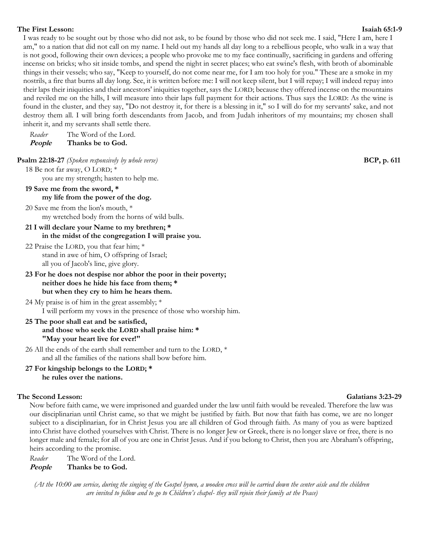#### **The First Lesson: Isaiah 65:1-9**

I was ready to be sought out by those who did not ask, to be found by those who did not seek me. I said, "Here I am, here I am," to a nation that did not call on my name. I held out my hands all day long to a rebellious people, who walk in a way that is not good, following their own devices; a people who provoke me to my face continually, sacrificing in gardens and offering incense on bricks; who sit inside tombs, and spend the night in secret places; who eat swine's flesh, with broth of abominable things in their vessels; who say, "Keep to yourself, do not come near me, for I am too holy for you." These are a smoke in my nostrils, a fire that burns all day long. See, it is written before me: I will not keep silent, but I will repay; I will indeed repay into their laps their iniquities and their ancestors' iniquities together, says the LORD; because they offered incense on the mountains and reviled me on the hills, I will measure into their laps full payment for their actions. Thus says the LORD: As the wine is found in the cluster, and they say, "Do not destroy it, for there is a blessing in it," so I will do for my servants' sake, and not destroy them all. I will bring forth descendants from Jacob, and from Judah inheritors of my mountains; my chosen shall inherit it, and my servants shall settle there.

*Reader* The Word of the Lord. **People Thanks be to God.**

## **Psalm 22:18-27** *(Spoken responsively by whole verse)* **BCP, p. 611**

18 Be not far away, O LORD; \*

you are my strength; hasten to help me.

- **19 Save me from the sword, \* my life from the power of the dog.**
- 20 Save me from the lion's mouth, \* my wretched body from the horns of wild bulls.
- **21 I will declare your Name to my brethren; \* in the midst of the congregation I will praise you.**
- 22 Praise the LORD, you that fear him; \* stand in awe of him, O offspring of Israel; all you of Jacob's line, give glory.
- **23 For he does not despise nor abhor the poor in their poverty; neither does he hide his face from them; \* but when they cry to him he hears them.**
- 24 My praise is of him in the great assembly; \* I will perform my vows in the presence of those who worship him.
- **25 The poor shall eat and be satisfied, and those who seek the LORD shall praise him: \* "May your heart live for ever!"**
- 26 All the ends of the earth shall remember and turn to the LORD,  $*$ and all the families of the nations shall bow before him.

#### **27 For kingship belongs to the LORD; \* he rules over the nations.**

### **The Second Lesson: Galatians 3:23-29**

Now before faith came, we were imprisoned and guarded under the law until faith would be revealed. Therefore the law was our disciplinarian until Christ came, so that we might be justified by faith. But now that faith has come, we are no longer subject to a disciplinarian, for in Christ Jesus you are all children of God through faith. As many of you as were baptized into Christ have clothed yourselves with Christ. There is no longer Jew or Greek, there is no longer slave or free, there is no longer male and female; for all of you are one in Christ Jesus. And if you belong to Christ, then you are Abraham's offspring, heirs according to the promise.

*Reader* The Word of the Lord. **People Thanks be to God.**

*(At the 10:00 am service, during the singing of the Gospel hymn, a wooden cross will be carried down the center aisle and the children are invited to follow and to go to Children's chapel- they will rejoin their family at the Peace)*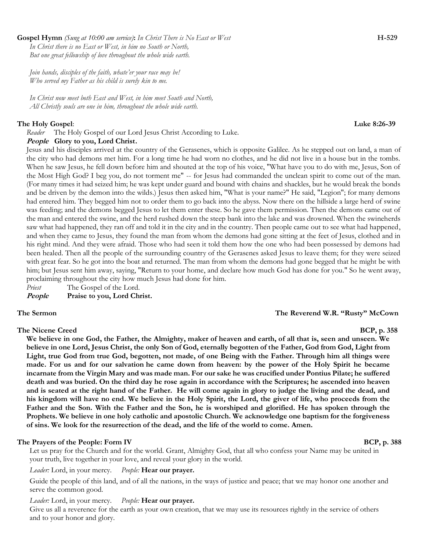**Gospel Hymn** *(Sung at 10:00 am service)***:** *In Christ There is No East or West* **H-529** *In Christ there is no East or West, in him no South or North, But one great fellowship of love throughout the whole wide earth.*

*Join hands, disciples of the faith, whate'er your race may be! Who served my Father as his child is surely kin to me.*

*In Christ now meet both East and West, in him meet South and North, All Christly souls are one in him, throughout the whole wide earth.*

#### **The Holy Gospel**: **Luke 8:26-39**

*Reader*The Holy Gospel of our Lord Jesus Christ According to Luke. **People Glory to you, Lord Christ.**

Jesus and his disciples arrived at the country of the Gerasenes, which is opposite Galilee. As he stepped out on land, a man of the city who had demons met him. For a long time he had worn no clothes, and he did not live in a house but in the tombs. When he saw Jesus, he fell down before him and shouted at the top of his voice, "What have you to do with me, Jesus, Son of the Most High God? I beg you, do not torment me" -- for Jesus had commanded the unclean spirit to come out of the man. (For many times it had seized him; he was kept under guard and bound with chains and shackles, but he would break the bonds and be driven by the demon into the wilds.) Jesus then asked him, "What is your name?" He said, "Legion"; for many demons had entered him. They begged him not to order them to go back into the abyss. Now there on the hillside a large herd of swine was feeding; and the demons begged Jesus to let them enter these. So he gave them permission. Then the demons came out of the man and entered the swine, and the herd rushed down the steep bank into the lake and was drowned. When the swineherds saw what had happened, they ran off and told it in the city and in the country. Then people came out to see what had happened, and when they came to Jesus, they found the man from whom the demons had gone sitting at the feet of Jesus, clothed and in his right mind. And they were afraid. Those who had seen it told them how the one who had been possessed by demons had been healed. Then all the people of the surrounding country of the Gerasenes asked Jesus to leave them; for they were seized with great fear. So he got into the boat and returned. The man from whom the demons had gone begged that he might be with him; but Jesus sent him away, saying, "Return to your home, and declare how much God has done for you." So he went away, proclaiming throughout the city how much Jesus had done for him.

*Priest* The Gospel of the Lord.

**People Praise to you, Lord Christ.**

#### **The Sermon The Reverend W.R. "Rusty" McCown**

#### **The Nicene Creed BCP, p. 358**

**We believe in one God, the Father, the Almighty, maker of heaven and earth, of all that is, seen and unseen. We believe in one Lord, Jesus Christ, the only Son of God, eternally begotten of the Father, God from God, Light from Light, true God from true God, begotten, not made, of one Being with the Father. Through him all things were made. For us and for our salvation he came down from heaven: by the power of the Holy Spirit he became incarnate from the Virgin Mary and was made man. For our sake he was crucified under Pontius Pilate; he suffered death and was buried. On the third day he rose again in accordance with the Scriptures; he ascended into heaven and is seated at the right hand of the Father. He will come again in glory to judge the living and the dead, and his kingdom will have no end. We believe in the Holy Spirit, the Lord, the giver of life, who proceeds from the Father and the Son. With the Father and the Son, he is worshiped and glorified. He has spoken through the Prophets. We believe in one holy catholic and apostolic Church. We acknowledge one baptism for the forgiveness of sins. We look for the resurrection of the dead, and the life of the world to come. Amen.**

#### The Prayers of the People: Form IV BCP, p. 388

Let us pray for the Church and for the world. Grant, Almighty God, that all who confess your Name may be united in your truth, live together in your love, and reveal your glory in the world.

*Leader:* Lord, in your mercy. *People:* **Hear our prayer.**

Guide the people of this land, and of all the nations, in the ways of justice and peace; that we may honor one another and serve the common good.

*Leader:* Lord, in your mercy. *People:* **Hear our prayer.**

Give us all a reverence for the earth as your own creation, that we may use its resources rightly in the service of others and to your honor and glory.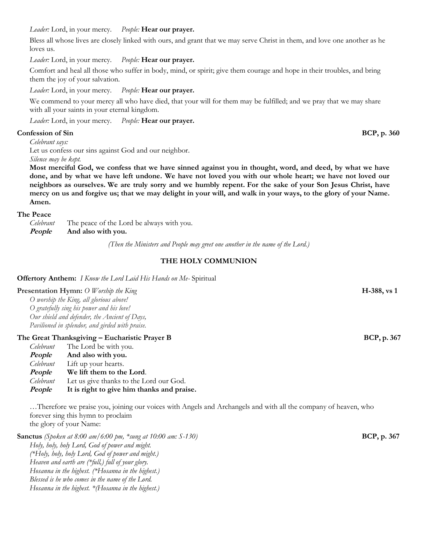*Leader:* Lord, in your mercy. *People:* **Hear our prayer.**

Bless all whose lives are closely linked with ours, and grant that we may serve Christ in them, and love one another as he loves us.

*Leader:* Lord, in your mercy. *People:* **Hear our prayer.**

Comfort and heal all those who suffer in body, mind, or spirit; give them courage and hope in their troubles, and bring them the joy of your salvation.

*Leader:* Lord, in your mercy. *People:* **Hear our prayer.**

We commend to your mercy all who have died, that your will for them may be fulfilled; and we pray that we may share with all your saints in your eternal kingdom.

*Leader:* Lord, in your mercy. *People:* **Hear our prayer.**

#### **Confession of Sin** BCP, p. 360

*Celebrant says:*

Let us confess our sins against God and our neighbor.

*Silence may be kept.*

**Most merciful God, we confess that we have sinned against you in thought, word, and deed, by what we have done, and by what we have left undone. We have not loved you with our whole heart; we have not loved our neighbors as ourselves. We are truly sorry and we humbly repent. For the sake of your Son Jesus Christ, have mercy on us and forgive us; that we may delight in your will, and walk in your ways, to the glory of your Name. Amen.**

#### **The Peace**

*Celebrant* The peace of the Lord be always with you. **People And also with you.**

*(Then the Ministers and People may greet one another in the name of the Lord.)*

#### **THE HOLY COMMUNION**

**Offertory Anthem:** *I Know the Lord Laid His Hands on Me-* Spiritual

#### **Presentation Hymn:** *O Worship the King H*-388, vs 1

*O worship the King, all glorious above! O gratefully sing his power and his love! Our shield and defender, the Ancient of Days, Pavilioned in splendor, and girded with praise.*

#### **The Great Thanksgiving – Eucharistic Prayer B BCP, p. 367**

| Celebrant | The Lord be with you.                      |
|-----------|--------------------------------------------|
| People    | And also with you.                         |
| Celebrant | Lift up your hearts.                       |
| People    | We lift them to the Lord.                  |
| Celebrant | Let us give thanks to the Lord our God.    |
| People    | It is right to give him thanks and praise. |

…Therefore we praise you, joining our voices with Angels and Archangels and with all the company of heaven, who forever sing this hymn to proclaim the glory of your Name:

**Sanctus** *(Spoken at 8:00 am/6:00 pm, \*sung at 10:00 am: S-130)* **BCP, p. 367 BCP, p. 367** 

*Holy, holy, holy Lord, God of power and might. (\*Holy, holy, holy Lord, God of power and might.) Heaven and earth are (\*full,) full of your glory. Hosanna in the highest. (\*Hosanna in the highest.) Blessed is he who comes in the name of the Lord. Hosanna in the highest. \*(Hosanna in the highest.)*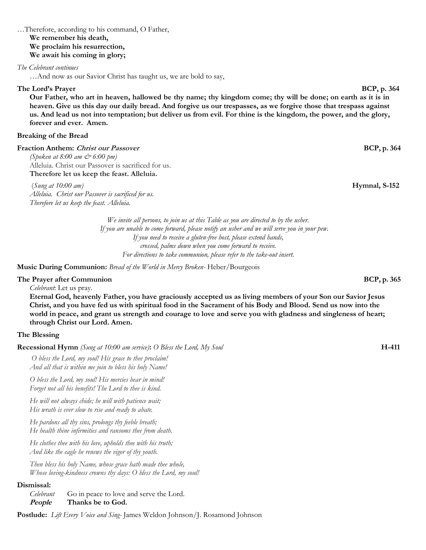| Therefore, according to his command, O Father,                                                                |             |
|---------------------------------------------------------------------------------------------------------------|-------------|
| We remember his death,                                                                                        |             |
| We proclaim his resurrection,                                                                                 |             |
| We await his coming in glory;                                                                                 |             |
| The Celebrant continues                                                                                       |             |
| And now as our Savior Christ has taught us, we are bold to say,                                               |             |
| The Lord's Prayer                                                                                             | BCP, p. 364 |
| Our Father, who art in heaven, hallowed be thy name; thy kingdom come; thy will be done; on earth as it is in |             |

**Our Come; thy will be done; on earth as it is in heaven. Give us this day our daily bread. And forgive us our trespasses, as we forgive those that trespass against us. And lead us not into temptation; but deliver us from evil. For thine is the kingdom, the power, and the glory, forever and ever. Amen.**

#### **Breaking of the Bread**

#### **Fraction Anthem: Christ our Passover BCP, p. 364**

*(Spoken at 8:00 am & 6:00 pm)*  Alleluia. Christ our Passover is sacrificed for us. **Therefore let us keep the feast. Alleluia.**

(*Sung at 10:00 am)* **Hymnal, S-152** *Alleluia. Christ our Passover is sacrificed for us. Therefore let us keep the feast. Alleluia.* 

> *We invite all persons, to join us at this Table as you are directed to by the usher. If you are unable to come forward, please notify an usher and we will serve you in your pew. If you need to receive a gluten-free host, please extend hands, crossed, palms down when you come forward to receive. For directions to take communion, please refer to the take-out insert.*

**Music During Communion:** *Bread of the World in Mercy Broken-* Heber/Bourgeois

#### **The Prayer after Communion BCP, p. 365**

*Celebrant*: Let us pray.

**Eternal God, heavenly Father, you have graciously accepted us as living members of your Son our Savior Jesus Christ, and you have fed us with spiritual food in the Sacrament of his Body and Blood. Send us now into the world in peace, and grant us strength and courage to love and serve you with gladness and singleness of heart; through Christ our Lord. Amen.** 

#### **The Blessing**

**Recessional Hymn** *(Sung at 10:00 am service)***:** *O Bless the Lord, My Soul* **H-411**

*O bless the Lord, my soul! His grace to thee proclaim! And all that is within me join to bless his holy Name!*

*O bless the Lord, my soul! His mercies bear in mind! Forget not all his benefits! The Lord to thee is kind.*

*He will not always chide; he will with patience wait; His wrath is ever slow to rise and ready to abate.*

*He pardons all thy sins, prolongs thy feeble breath; He health thine infirmities and ransoms thee from death.*

*He clothes thee with his love, upholds thee with his truth; And like the eagle he renews the vigor of thy youth.*

*Then bless his holy Name, whose grace hath made thee whole, Whose loving-kindness crowns thy days: O bless the Lord, my soul!*

#### **Dismissal:**

*Celebrant* Go in peace to love and serve the Lord. **People Thanks be to God.** 

**Postlude:** *Lift Every Voice and Sing-* James Weldon Johnson/J. Rosamond Johnson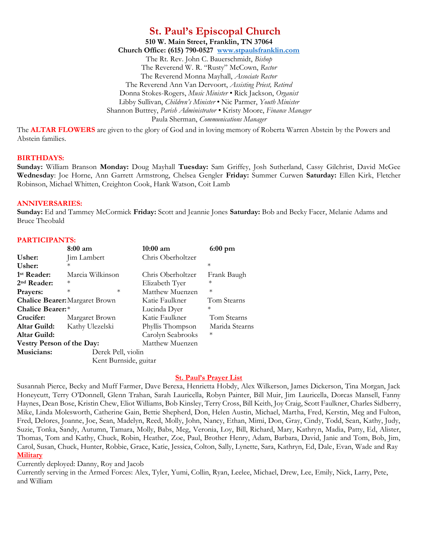# **St. Paul's Episcopal Church**

**510 W. Main Street, Franklin, TN 37064 Church Office: (615) 790-0527 [www.stpaulsfranklin.com](http://www.stpaulsfranklin.com/)** The Rt. Rev. John C. Bauerschmidt, *Bishop* The Reverend W. R. "Rusty" McCown, *Rector* The Reverend Monna Mayhall, *Associate Rector*  The Reverend Ann Van Dervoort, *Assisting Priest, Retired* Donna Stokes-Rogers, *Music Minister •* Rick Jackson, *Organist*  Libby Sullivan, *Children's Minister •* Nic Parmer, *Youth Minister* Shannon Buttrey, *Parish Administrator •* Kristy Moore, *Finance Manager* Paula Sherman, *Communications Manager*

The **ALTAR FLOWERS** are given to the glory of God and in loving memory of Roberta Warren Abstein by the Powers and Abstein families.

#### **BIRTHDAYS:**

**Sunday:** William Branson **Monday:** Doug Mayhall **Tuesday:** Sam Griffey, Josh Sutherland, Cassy Gilchrist, David McGee **Wednesday**: Joe Horne, Ann Garrett Armstrong, Chelsea Gengler **Friday:** Summer Curwen **Saturday:** Ellen Kirk, Fletcher Robinson, Michael Whitten, Creighton Cook, Hank Watson, Coit Lamb

#### **ANNIVERSARIES:**

**Sunday:** Ed and Tammey McCormick **Friday:** Scott and Jeannie Jones **Saturday:** Bob and Becky Facer, Melanie Adams and Bruce Theobald

#### **PARTICIPANTS:**

|                           | $8:00 \text{ am}$                     | $10:00$ am        | $6:00$ pm      |
|---------------------------|---------------------------------------|-------------------|----------------|
| Usher:                    | Jim Lambert                           | Chris Oberholtzer |                |
| Usher:                    | $^\ast$                               |                   | $\ast$         |
| 1 <sup>st</sup> Reader:   | Marcia Wilkinson                      | Chris Oberholtzer | Frank Baugh    |
| 2 <sup>nd</sup> Reader:   | $\ast$                                | Elizabeth Tyer    | $^{\ast}$      |
| Prayers:                  | $\ast$<br>$^\ast$                     | Matthew Muenzen   | $\ast$         |
|                           | <b>Chalice Bearer:</b> Margaret Brown | Katie Faulkner    | Tom Stearns    |
| Chalice Bearer:*          |                                       | Lucinda Dyer      | $^\ast$        |
| Crucifer:                 | Margaret Brown                        | Katie Faulkner    | Tom Stearns    |
| Altar Guild:              | Kathy Ulezelski                       | Phyllis Thompson  | Marida Stearns |
| Altar Guild:              |                                       | Carolyn Seabrooks | $^\ast$        |
| Vestry Person of the Day: |                                       | Matthew Muenzen   |                |
| Musicians:                | Derek Pell, violin                    |                   |                |
|                           | Kent Burnside, guitar                 |                   |                |

### **St. Paul's Prayer List**

Susannah Pierce, Becky and Muff Farmer, Dave Berexa, Henrietta Hobdy, Alex Wilkerson, James Dickerson, Tina Morgan, Jack Honeycutt, Terry O'Donnell, Glenn Trahan, Sarah Lauricella, Robyn Painter, Bill Muir, Jim Lauricella, Dorcas Mansell, Fanny Haynes, Dean Bose, Kristin Chew, Eliot Williams, Bob Kinsley, Terry Cross, Bill Keith, Joy Craig, Scott Faulkner, Charles Sidberry, Mike, Linda Molesworth, Catherine Gain, Bettie Shepherd, Don, Helen Austin, Michael, Martha, Fred, Kerstin, Meg and Fulton, Fred, Delores, Joanne, Joe, Sean, Madelyn, Reed, Molly, John, Nancy, Ethan, Mimi, Don, Gray, Cindy, Todd, Sean, Kathy, Judy, Suzie, Tonka, Sandy, Autumn, Tamara, Molly, Babs, Meg, Veronia, Loy, Bill, Richard, Mary, Kathryn, Madia, Patty, Ed, Alister, Thomas, Tom and Kathy, Chuck, Robin, Heather, Zoe, Paul, Brother Henry, Adam, Barbara, David, Janie and Tom, Bob, Jim, Carol, Susan, Chuck, Hunter, Robbie, Grace, Katie, Jessica, Colton, Sally, Lynette, Sara, Kathryn, Ed, Dale, Evan, Wade and Ray **Military**

Currently deployed: Danny, Roy and Jacob

Currently serving in the Armed Forces: Alex, Tyler, Yumi, Collin, Ryan, Leelee, Michael, Drew, Lee, Emily, Nick, Larry, Pete, and William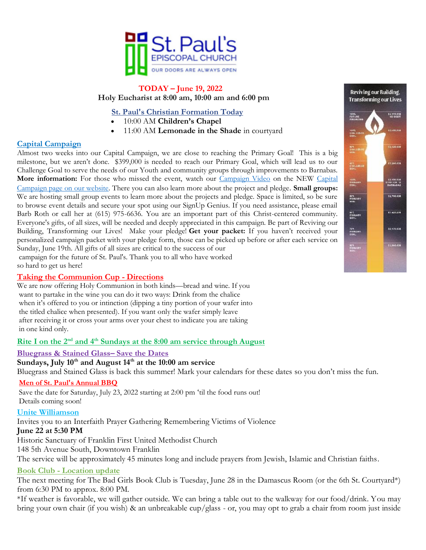

## **TODAY – June 19, 2022 Holy Eucharist at 8:00 am, 10:00 am and 6:00 pm**

## **St. Paul's Christian Formation Today**

- 10:00 AM **Children's Chapel**
- 11:00 AM **Lemonade in the Shade** in courtyard

## **Capital Campaign**

Almost two weeks into our Capital Campaign, we are close to reaching the Primary Goal! This is a big milestone, but we aren't done. \$399,000 is needed to reach our Primary Goal, which will lead us to our Challenge Goal to serve the needs of our Youth and community groups through improvements to Barnabas. More information: For those who missed the event, watch our *Campaign Video* on the NEW *Capital* [Campaign page on our website.](https://www.stpaulsfranklin.com/capital-campaign/) There you can also learn more about the project and pledge. **Small groups:**  We are hosting small group events to learn more about the projects and pledge. Space is limited, so be sure to browse event details and secure your spot using our SignUp Genius. If you need assistance, please email Barb Roth or call her at (615) 975-6636. You are an important part of this Christ-centered community. Everyone's gifts, of all sizes, will be needed and deeply appreciated in this campaign. Be part of Reviving our Building, Transforming our Lives! Make your pledge! **Get your packet:** If you haven't received your personalized campaign packet with your pledge form, those can be picked up before or after each service on Sunday, June 19th. All gifts of all sizes are critical to the success of our campaign for the future of St. Paul's. Thank you to all who have worked

so hard to get us here!

## **Taking the Communion Cup - Directions**

We are now offering Holy Communion in both kinds—bread and wine. If you want to partake in the wine you can do it two ways: Drink from the chalice when it's offered to you or intinction (dipping a tiny portion of your wafer into the titled chalice when presented). If you want only the wafer simply leave after receiving it or cross your arms over your chest to indicate you are taking in one kind only.

## **Rite I on the 2nd and 4th Sundays at the 8:00 am service through August**

### **Bluegrass & Stained Glass– Save the Dates**

## **Sundays, July 10th and August 14th at the 10:00 am service**

Bluegrass and Stained Glass is back this summer! Mark your calendars for these dates so you don't miss the fun.

### **Men of St. Paul's Annual BBQ**

Save the date for Saturday, July 23, 2022 starting at 2:00 pm 'til the food runs out! Details coming soon!

### **Unite Williamson**

Invites you to an Interfaith Prayer Gathering Remembering Victims of Violence

## **June 22 at 5:30 PM**

Historic Sanctuary of Franklin First United Methodist Church 148 5th Avenue South, Downtown Franklin

The service will be approximately 45 minutes long and include prayers from Jewish, Islamic and Christian faiths.

### **Book Club - Location update**

The next meeting for The Bad Girls Book Club is Tuesday, June 28 in the Damascus Room (or the 6th St. Courtyard\*) from 6:30 PM to approx. 8:00 PM.

\*If weather is favorable, we will gather outside. We can bring a table out to the walkway for our food/drink. You may bring your own chair (if you wish) & an unbreakable cup/glass - or, you may opt to grab a chair from room just inside

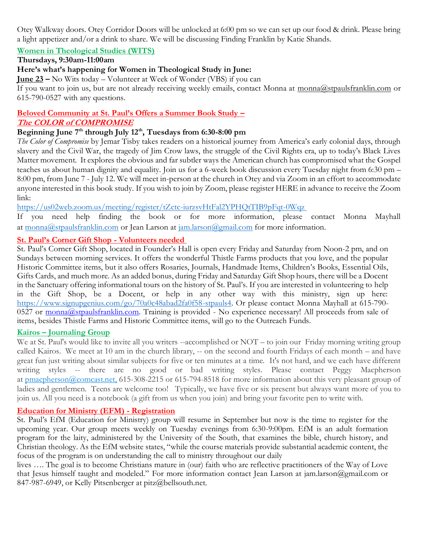Otey Walkway doors. Otey Corridor Doors will be unlocked at 6:00 pm so we can set up our food & drink. Please bring a light appetizer and/or a drink to share. We will be discussing Finding Franklin by Katie Shands.

## **Women in Theological Studies (WITS)**

## **Thursdays, 9:30am-11:00am**

## **Here's what's happening for Women in Theological Study in June:**

**June 23 –** No Wits today – Volunteer at Week of Wonder (VBS) if you can

If you want to join us, but are not already receiving weekly emails, contact Monna at [monna@stpaulsfranklin.com](mailto:monna@stpaulsfranklin.com) or 615-790-0527 with any questions.

# **Beloved Community at St. Paul's Offers a Summer Book Study –**

## **The COLOR of COMPROMISE**

# **Beginning June 7th through July 12th, Tuesdays from 6:30-8:00 pm**

*The Color of Compromise* by Jemar Tisby takes readers on a historical journey from America's early colonial days, through slavery and the Civil War, the tragedy of Jim Crow laws, the struggle of the Civil Rights era, up to today's Black Lives Matter movement. It explores the obvious and far subtler ways the American church has compromised what the Gospel teaches us about human dignity and equality. Join us for a 6-week book discussion every Tuesday night from 6:30 pm – 8:00 pm, from June 7 - July 12. We will meet in-person at the church in Otey and via Zoom in an effort to accommodate anyone interested in this book study. If you wish to join by Zoom, please register HERE in advance to receive the Zoom link:

[https://us02web.zoom.us/meeting/register/tZctc-iurzsvHtFal2YPHQtTIB9pFqt-0Wqz](https://us02web.zoom.us/meeting/register/tZctc-iurzsvHtFal2YPHQtTIB9pFqt-0Wqz )

If you need help finding the book or for more information, please contact Monna Mayhall at [monna@stpaulsfranklin.com](mailto:monna@stpaulsfranklin.com) or Jean Larson at [jam.larson@gmail.com](mailto:jam.larson@gmail.com) for more information.

## **St. Paul's Corner Gift Shop - Volunteers needed**

St. Paul's Corner Gift Shop, located in Founder's Hall is open every Friday and Saturday from Noon-2 pm, and on Sundays between morning services. It offers the wonderful Thistle Farms products that you love, and the popular Historic Committee items, but it also offers Rosaries, Journals, Handmade Items, Children's Books, Essential Oils, Gifts Cards, and much more. As an added bonus, during Friday and Saturday Gift Shop hours, there will be a Docent in the Sanctuary offering informational tours on the history of St. Paul's. If you are interested in volunteering to help in the Gift Shop, be a Docent, or help in any other way with this ministry, sign up here: [https://www.signupgenius.com/go/70a0c48abad2fa0f58-stpauls4.](https://www.signupgenius.com/go/70a0c48abad2fa0f58-stpauls4) Or please contact Monna Mayhall at 615-790- 0527 or monna@stpaulsfranklin.com. Training is provided - No experience necessary! All proceeds from sale of items, besides Thistle Farms and Historic Committee items, will go to the Outreach Funds.

## **Kairos – Journaling Group**

We at St. Paul's would like to invite all you writers --accomplished or NOT – to join our Friday morning writing group called Kairos. We meet at 10 am in the church library, -- on the second and fourth Fridays of each month – and have great fun just writing about similar subjects for five or ten minutes at a time. It's not hard, and we each have different writing styles -- there are no good or bad writing styles. Please contact Peggy Macpherson at [pmacpherson@comcast.net,](mailto:pmacpherson@comcast.net,) 615-308-2215 or 615-794-8518 for more information about this very pleasant group of ladies and gentlemen. Teens are welcome too! Typically, we have five or six present but always want more of you to join us. All you need is a notebook (a gift from us when you join) and bring your favorite pen to write with.

## **Education for Ministry (EFM) - Registration**

St. Paul's EfM (Education for Ministry) group will resume in September but now is the time to register for the upcoming year. Our group meets weekly on Tuesday evenings from 6:30-9:00pm. EfM is an adult formation program for the laity, administered by the University of the South, that examines the bible, church history, and Christian theology. As the EfM website states, "while the course materials provide substantial academic content, the focus of the program is on understanding the call to ministry throughout our daily

lives …. The goal is to become Christians mature in (our) faith who are reflective practitioners of the Way of Love that Jesus himself taught and modeled." For more information contact Jean Larson at jam.larson@gmail.com or 847-987-6949, or Kelly Pitsenberger at pitz@bellsouth.net.